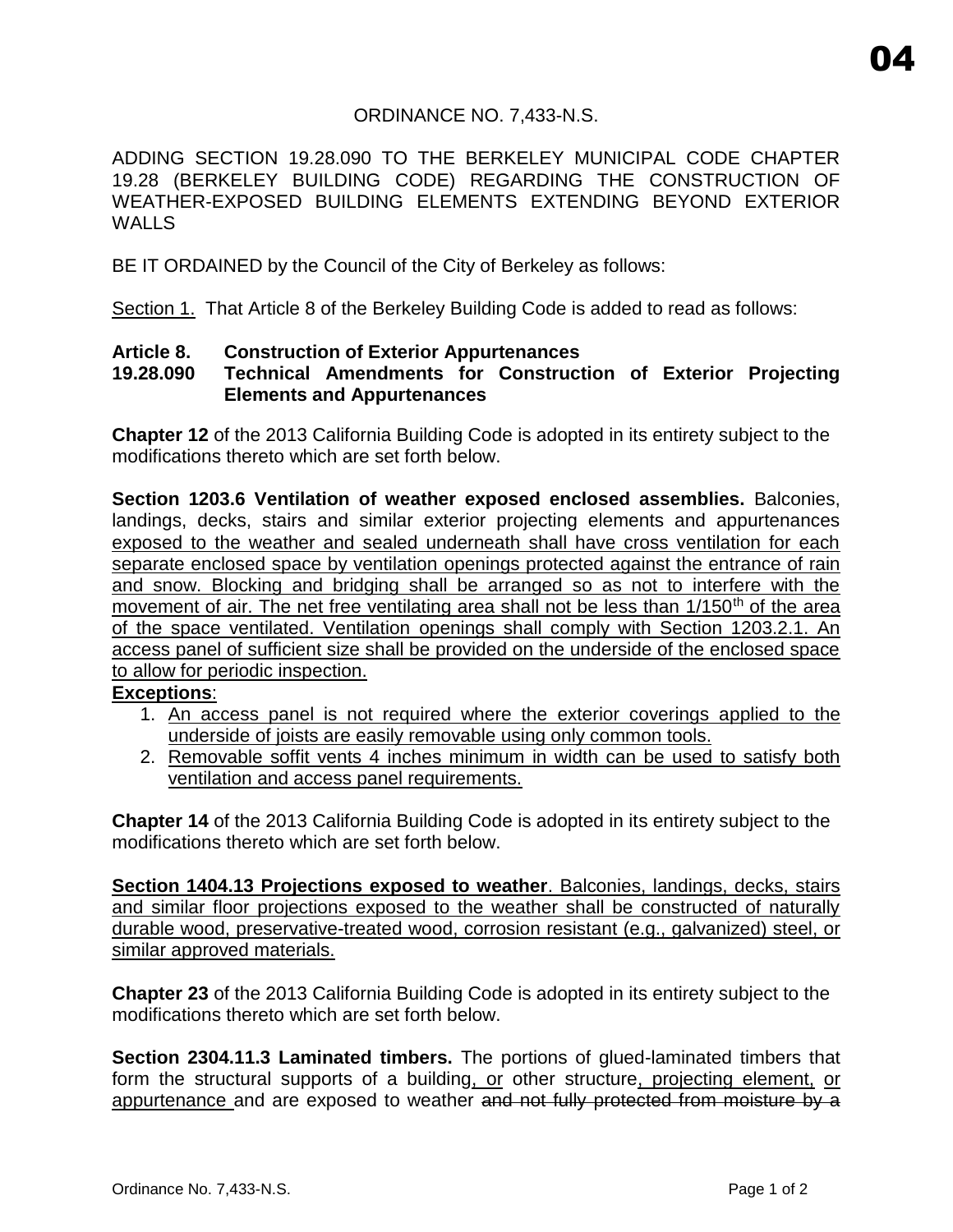# ORDINANCE NO. 7,433-N.S.

ADDING SECTION 19.28.090 TO THE BERKELEY MUNICIPAL CODE CHAPTER 19.28 (BERKELEY BUILDING CODE) REGARDING THE CONSTRUCTION OF WEATHER-EXPOSED BUILDING ELEMENTS EXTENDING BEYOND EXTERIOR **WALLS** 

BE IT ORDAINED by the Council of the City of Berkeley as follows:

Section 1. That Article 8 of the Berkeley Building Code is added to read as follows:

### **Article 8. Construction of Exterior Appurtenances**

## **19.28.090 Technical Amendments for Construction of Exterior Projecting Elements and Appurtenances**

**Chapter 12** of the 2013 California Building Code is adopted in its entirety subject to the modifications thereto which are set forth below.

**Section 1203.6 Ventilation of weather exposed enclosed assemblies.** Balconies, landings, decks, stairs and similar exterior projecting elements and appurtenances exposed to the weather and sealed underneath shall have cross ventilation for each separate enclosed space by ventilation openings protected against the entrance of rain and snow. Blocking and bridging shall be arranged so as not to interfere with the movement of air. The net free ventilating area shall not be less than 1/150<sup>th</sup> of the area of the space ventilated. Ventilation openings shall comply with Section 1203.2.1. access panel of sufficient size shall be provided on the underside of the enclosed space to allow for periodic inspection.

## **Exceptions**:

- 1. An access panel is not required where the exterior coverings applied to the underside of joists are easily removable using only common tools.
- 2. Removable soffit vents 4 inches minimum in width can be used to satisfy both ventilation and access panel requirements.

**Chapter 14** of the 2013 California Building Code is adopted in its entirety subject to the modifications thereto which are set forth below.

**Section 1404.13 Projections exposed to weather**. Balconies, landings, decks, stairs and similar floor projections exposed to the weather shall be constructed of naturally durable wood, preservative-treated wood, corrosion resistant (e.g., galvanized) steel, or similar approved materials.

**Chapter 23** of the 2013 California Building Code is adopted in its entirety subject to the modifications thereto which are set forth below.

**Section 2304.11.3 Laminated timbers.** The portions of glued-laminated timbers that form the structural supports of a building, or other structure, projecting element, or appurtenance and are exposed to weather and not fully protected from moisture by a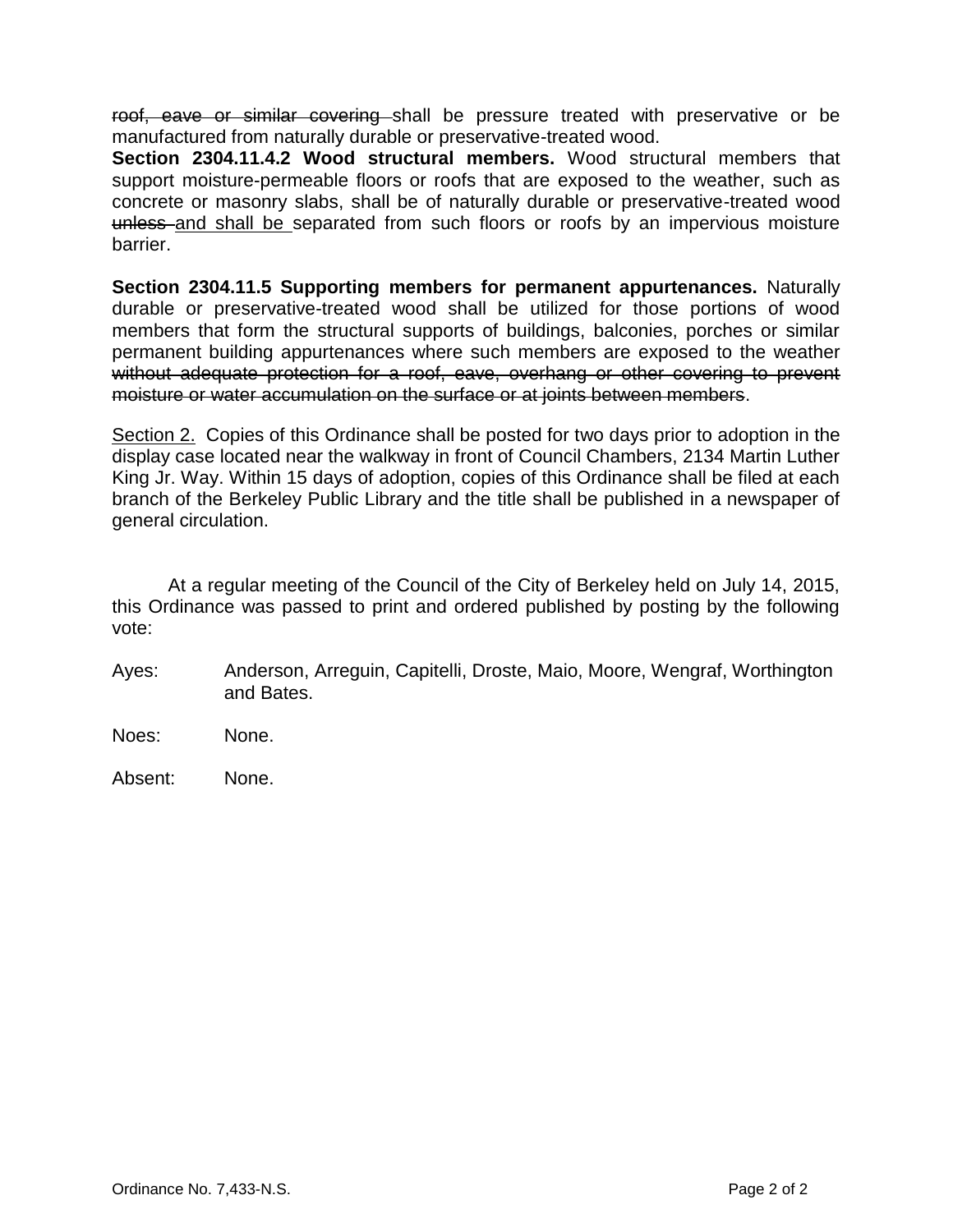roof, eave or similar covering shall be pressure treated with preservative or be manufactured from naturally durable or preservative-treated wood.

**Section 2304.11.4.2 Wood structural members.** Wood structural members that support moisture-permeable floors or roofs that are exposed to the weather, such as concrete or masonry slabs, shall be of naturally durable or preservative-treated wood unless and shall be separated from such floors or roofs by an impervious moisture barrier.

**Section 2304.11.5 Supporting members for permanent appurtenances.** Naturally durable or preservative-treated wood shall be utilized for those portions of wood members that form the structural supports of buildings, balconies, porches or similar permanent building appurtenances where such members are exposed to the weather without adequate protection for a roof, eave, overhang or other covering to prevent moisture or water accumulation on the surface or at joints between members.

Section 2. Copies of this Ordinance shall be posted for two days prior to adoption in the display case located near the walkway in front of Council Chambers, 2134 Martin Luther King Jr. Way. Within 15 days of adoption, copies of this Ordinance shall be filed at each branch of the Berkeley Public Library and the title shall be published in a newspaper of general circulation.

At a regular meeting of the Council of the City of Berkeley held on July 14, 2015, this Ordinance was passed to print and ordered published by posting by the following vote:

- Ayes: Anderson, Arreguin, Capitelli, Droste, Maio, Moore, Wengraf, Worthington and Bates.
- Noes: None.
- Absent: None.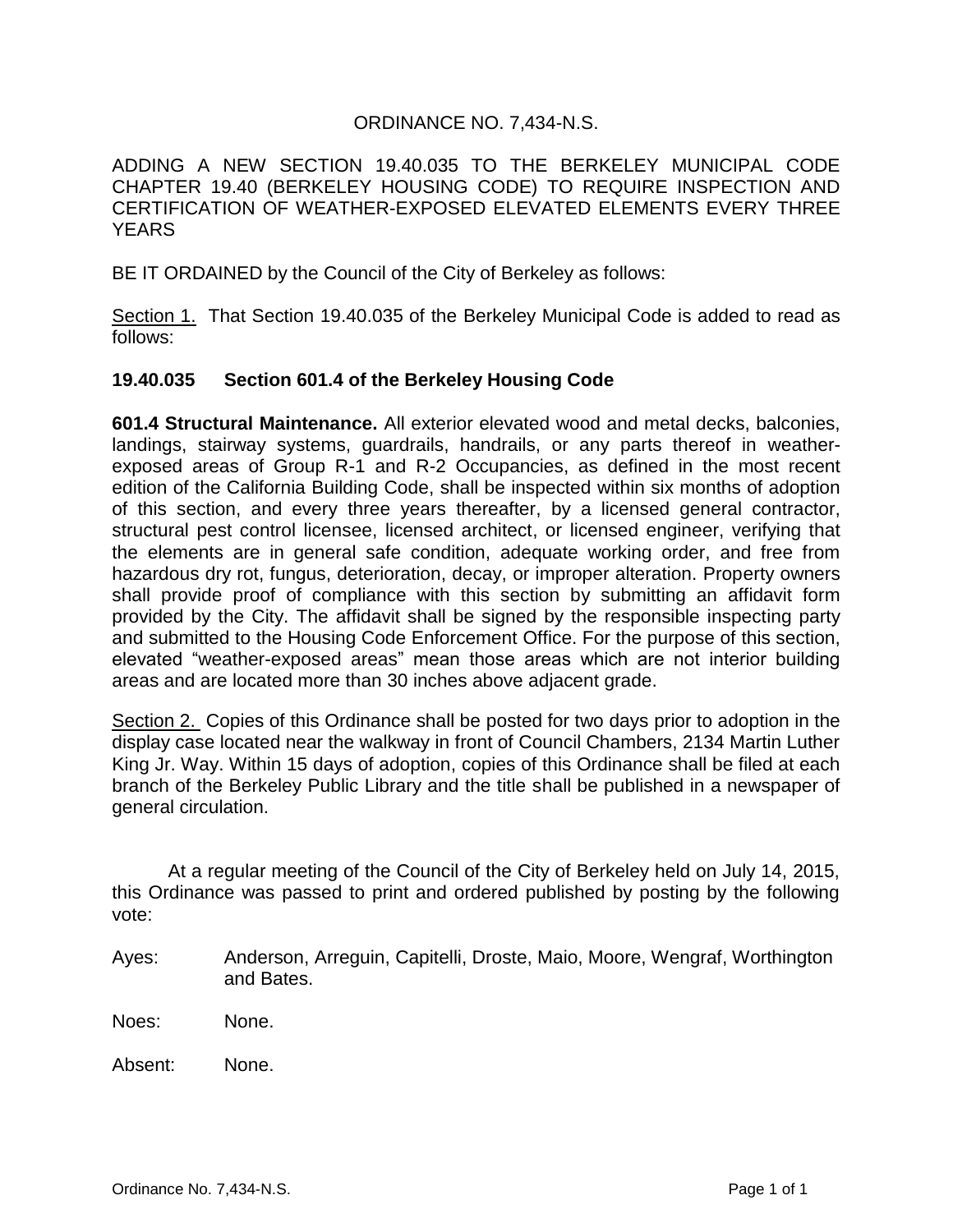## ORDINANCE NO. 7,434-N.S.

ADDING A NEW SECTION 19.40.035 TO THE BERKELEY MUNICIPAL CODE CHAPTER 19.40 (BERKELEY HOUSING CODE) TO REQUIRE INSPECTION AND CERTIFICATION OF WEATHER-EXPOSED ELEVATED ELEMENTS EVERY THREE **YEARS** 

BE IT ORDAINED by the Council of the City of Berkeley as follows:

Section 1. That Section 19.40.035 of the Berkeley Municipal Code is added to read as follows:

### **19.40.035 Section 601.4 of the Berkeley Housing Code**

**601.4 Structural Maintenance.** All exterior elevated wood and metal decks, balconies, landings, stairway systems, guardrails, handrails, or any parts thereof in weatherexposed areas of Group R-1 and R-2 Occupancies, as defined in the most recent edition of the California Building Code, shall be inspected within six months of adoption of this section, and every three years thereafter, by a licensed general contractor, structural pest control licensee, licensed architect, or licensed engineer, verifying that the elements are in general safe condition, adequate working order, and free from hazardous dry rot, fungus, deterioration, decay, or improper alteration. Property owners shall provide proof of compliance with this section by submitting an affidavit form provided by the City. The affidavit shall be signed by the responsible inspecting party and submitted to the Housing Code Enforcement Office. For the purpose of this section, elevated "weather-exposed areas" mean those areas which are not interior building areas and are located more than 30 inches above adjacent grade.

Section 2. Copies of this Ordinance shall be posted for two days prior to adoption in the display case located near the walkway in front of Council Chambers, 2134 Martin Luther King Jr. Way. Within 15 days of adoption, copies of this Ordinance shall be filed at each branch of the Berkeley Public Library and the title shall be published in a newspaper of general circulation.

At a regular meeting of the Council of the City of Berkeley held on July 14, 2015, this Ordinance was passed to print and ordered published by posting by the following vote:

- Ayes: Anderson, Arreguin, Capitelli, Droste, Maio, Moore, Wengraf, Worthington and Bates.
- Noes: None.

Absent: None.